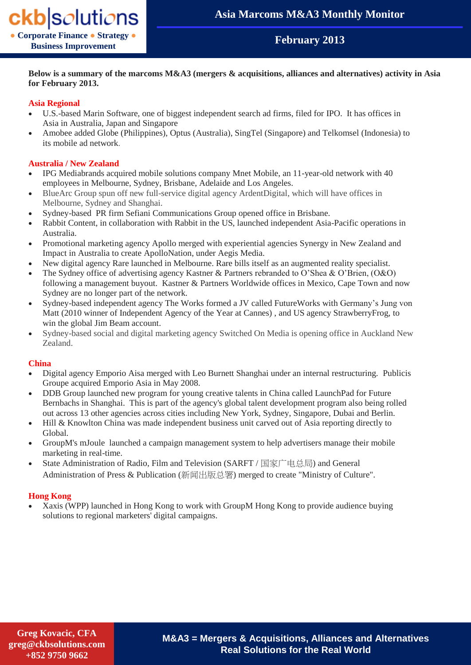## **February 2013**

### **Below is a summary of the marcoms M&A3 (mergers & acquisitions, alliances and alternatives) activity in Asia for February 2013.**

## **Asia Regional**

- U.S.-based Marin Software, one of biggest independent search ad firms, filed for IPO. It has offices in Asia in Australia, Japan and Singapore
- Amobee added Globe (Philippines), Optus (Australia), SingTel (Singapore) and Telkomsel (Indonesia) to its mobile ad network.

#### **Australia / New Zealand**

- IPG Mediabrands acquired mobile solutions company Mnet Mobile, an 11-year-old network with 40 employees in Melbourne, Sydney, Brisbane, Adelaide and Los Angeles.
- BlueArc Group spun off new full-service digital agency ArdentDigital, which will have offices in Melbourne, Sydney and Shanghai.
- Sydney-based PR firm Sefiani Communications Group opened office in Brisbane.
- Rabbit Content, in collaboration with Rabbit in the US, launched independent Asia-Pacific operations in Australia.
- Promotional marketing agency Apollo merged with experiential agencies Synergy in New Zealand and Impact in Australia to create ApolloNation, under Aegis Media.
- New digital agency Rare launched in Melbourne. Rare bills itself as an augmented reality specialist.
- The Sydney office of advertising agency Kastner & Partners rebranded to O'Shea & O'Brien, (O&O) following a management buyout. Kastner & Partners Worldwide offices in Mexico, Cape Town and now Sydney are no longer part of the network.
- Sydney-based independent agency The Works formed a JV called FutureWorks with Germany's Jung von Matt (2010 winner of Independent Agency of the Year at Cannes) , and US agency StrawberryFrog, to win the global Jim Beam account.
- Sydney-based social and digital marketing agency Switched On Media is opening office in Auckland New Zealand.

#### **China**

- Digital agency Emporio Aisa merged with Leo Burnett Shanghai under an internal restructuring. Publicis Groupe acquired Emporio Asia in May 2008.
- DDB Group launched new program for young creative talents in China called LaunchPad for Future Bernbachs in Shanghai. This is part of the agency's global talent development program also being rolled out across 13 other agencies across cities including New York, Sydney, Singapore, Dubai and Berlin.
- Hill & Knowlton China was made independent business unit carved out of Asia reporting directly to Global.
- GroupM's mJoule launched a campaign management system to help advertisers manage their mobile marketing in real-time.
- State Administration of Radio, Film and Television (SARFT / 国家广电总局) and General Administration of Press & Publication (新闻出版总署) merged to create "Ministry of Culture".

### **Hong Kong**

 Xaxis (WPP) launched in Hong Kong to work with GroupM Hong Kong to provide audience buying solutions to regional marketers' digital campaigns.